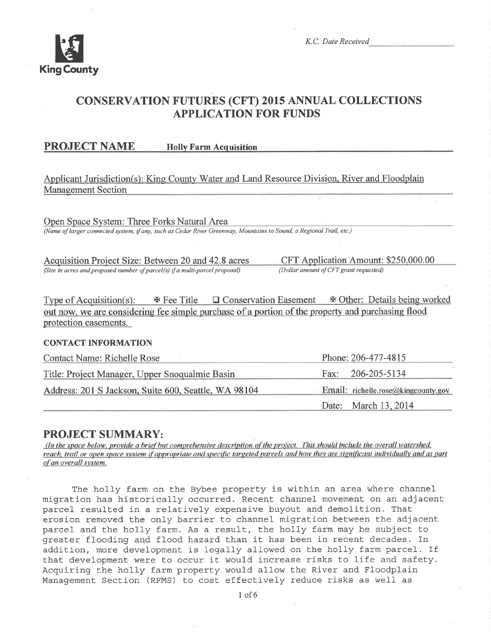

K.C. Date Received

## **CONSERVATION FUTURES (CFT) 2015 ANNUAL COLLECTIONS APPLICATION FOR FUNDS**

**PROJECT NAME** 

**Holly Farm Acquisition** 

## Applicant Jurisdiction(s): King County Water and Land Resource Division, River and Floodplain **Management Section**

Open Space System: Three Forks Natural Area (Name of larger connected system, if any, such as Cedar River Greenway, Mountains to Sound, a Regional Trail, etc.)

Acquisition Project Size: Between 20 and 42.8 acres (Size in acres and proposed number of parcel(s) if a multi-parcel proposal)

CFT Application Amount: \$250,000.00 (Dollar amount of CFT grant requested)

Type of Acquisition(s):  $\&$  Fee Title  $\Box$  Conservation Easement  $\&$  Other: Details being worked out now, we are considering fee simple purchase of a portion of the property and purchasing flood protection easements.

#### **CONTACT INFORMATION**

| <b>Contact Name: Richelle Rose</b>                   | Phone: 206-477-4815                 |
|------------------------------------------------------|-------------------------------------|
| Title: Project Manager, Upper Snoqualmie Basin       | Fax: 206-205-5134                   |
| Address: 201 S Jackson, Suite 600, Seattle, WA 98104 | Email: richelle.rose@kingcounty.gov |
|                                                      | Date: March 13, 2014                |

## **PROJECT SUMMARY:**

(In the space below, provide a brief but comprehensive description of the project. This should include the overall watershed, reach, trail or open space system if appropriate and specific targeted parcels and how they are significant individually and as part of an overall system.

The holly farm on the Bybee property is within an area where channel migration has historically occurred. Recent channel movement on an adjacent parcel resulted in a relatively expensive buyout and demolition. That erosion removed the only barrier to channel migration between the adjacent parcel and the holly farm. As a result, the holly farm may be subject to greater flooding and flood hazard than it has been in recent decades. In addition, more development is legally allowed on the holly farm parcel. If that development were to occur it would increase risks to life and safety. Acquiring the holly farm property would allow the River and Floodplain Management Section (RFMS) to cost effectively reduce risks as well as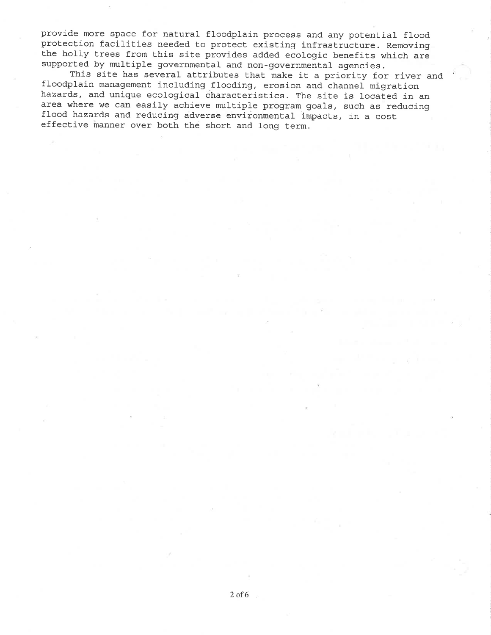provide more space for natural floodplain process and any potential flood protection facilities needed to protect existing infrastructure. Removing the holly trees from this site provides added ecologic benefits which are

This site has several attributes that make it a priority for river and<br>floodplain management including flooding, erosion and channel migration<br>hazards, and unique ecological characteristics. The site is located in an area where we can easily achieve multiple program goals, such as reducing flood hazards and reducing adverse environmental impacts, in a cost effective manner over both the short and long term.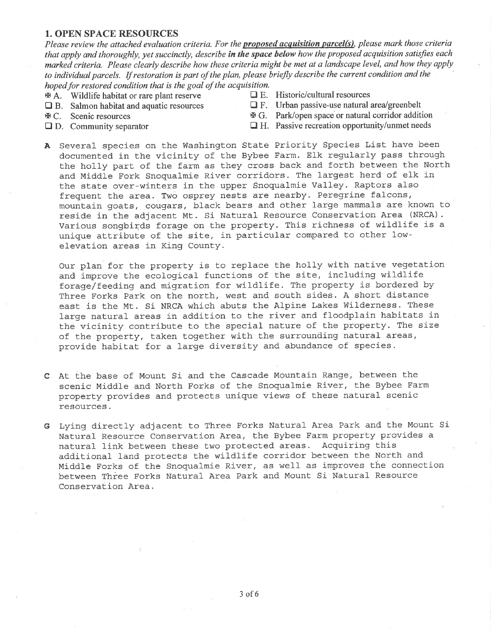#### 1. OPEN SPACE RESOURCES

Please review the attached evaluation criteria. For the **proposed acquisition parcel(s)**, please mark those criteria that apply and thoroughly, yet succinctly, describe in the space below how the proposed acquisition satisfies each marked criteria. Please clearly describe how these criteria might be met at a landscape level, and how they apply to individual parcels. If restoration is part of the plan, please briefly describe the current condition and the hoped for restored condition that is the goal of the acquisition.<br>  $\mathbb{E}$  A Wildlife habitat or rare plant reserve  $\Box$  E. Historic/cultural resources

- 
- $A$ . Wildlife habitat or rare plant reserve  $\Box$  B. Salmon habitat and aquatic resources
- 
- 
- 
- **the B.** Salmon habitat and aquatic resources **the E.** Urban passive-use natural area/greenbelt **E.** C. Scenic resources **E.** G. Park/open space or natural corridor additional
- $\text{F}$  C. Scenic resources  $\text{F}$  G. Park/open space or natural corridor addition <br>
□ D. Community separator □ H. Passive recreation opportunity/unmet needs
	- $\Box$  H. Passive recreation opportunity/unmet needs
- A Several species on the Washington State Priority Species List have been documented in the vicinity of the Bybee Farm. Elk regularly pass through the holly part of the farm as they cross back and forth between the North and Middle Fork Snoqualmie River corridors. The largest herd of elk in the state over-winters in the upper Snoqualmie Valley. Raptors also frequent the area. Two osprey nests are nearby. Peregrine falcons, mountain goats, cougars, black bears and other large mammals are known to reside in the adjacent Mt. Si Natural Resource Conservation Area (NRCA). Various songbirds forage on the property. This richness of wildlife is <sup>a</sup> unique attribute of the site, in particular compared to other lowelevation areas ín King County.

Our plan for the property is to replace the holly with native vegetation and improve the ecological functions of the site, including wildlife forage/feeding and migratipn for wildlife. The property is bordered by Three Forks Park on the north, west and south sides. A short distance east is the Mt. Si NRCA which abuts the Alpine Lakes Wilderness. These large natural areas in addition to the river and floodplain habitats in the vicinity contribute to the special nature of the property. The size of the property, taken together with the surrounding natural areas, provide habitat for a large diversity and abundance of species.

- C At the base of Mount Si and the Cascade Mountain Range, between the scenic Middle and North Forks of the Snoqualmie River, the Bybee Farm property provides and protects unique views of these natural scenic resources.
- G Lying directly adjacent to Three Forks Natural Area Park and the Mount Si-Natural Resource Conservation Area, the Bybee Farm property provides <sup>a</sup> natural link between these two protected areas. Acquiring this additional land protects the wildlife corridor between the North and Middle Forks of the Snoqualmie River, as well as improves the connection between Three Forks Natural Area Park and Mount Si Natural Resource Conservation Area.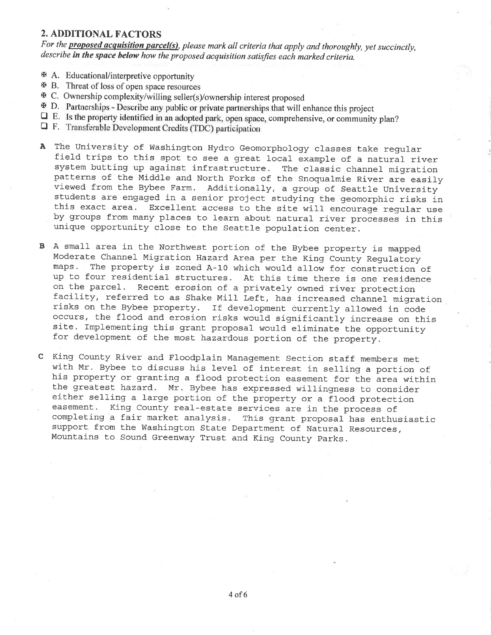## 2. ADDITIONAL FACTORS

For the **proposed acquisition parcel(s)**, please mark all criteria that apply and thoroughly, yet succinctly, describe in the space below how the proposed acquisition satisfies each marked criteria.

- $\mathfrak{B}$  A. Educational/interpretive opportunity
- $\mathfrak{B}$  B. Threat of loss of open space resources
- 
- $\Phi$  C. Ownership complexity/willing seller(s)/ownership interest proposed<br> $\Phi$  D. Partnerships Describe any public or private partnerships that will enhance this project
- $\Box$  E. Is the property identified in an adopted park, open space, comprehensive, or community plan?  $\Box$  F. Transferable Development Credits (TDC) participation
- 
- A The University of Washington Hydro Geomorphology classes take regular field trips to this spot to see a great local example of a natural river system butting up against infrastructure. The classic channel migration patterns of the Middle and North Forks of the Snoqualmie River are easily viewed from the Bybee Farm. Additionally, a group of Seattle University students are engaged in a senior project studying the geomorphic risks in th
- B A sma1l area in the Northwest portion of the Bybee property is mapped maps. The property is zoned A-10 which would allow for construction of up to four residential structures. At this time there is one residence on the parcel. Recent erosion of a privately owned river protection<br>facility, referred to as Shake Mill Left, has increased channel migration<br>risks on the Bybee property. If development currently allowed in code occurs, the flood and erosion risks would significantly increase on this site. Implementing this grant proposal would eliminate the opportunity for development of the most hazardous portion of the property.
- C King County River and Floodplain Management Section staff members met<br>with Mr. Bybee to discuss his level of interest in selling a portion of<br>his property or granting a flood protection easement for the area within<br>the g completing a fair market analysis. This grant proposal has enthusiastic<br>support from the Washington State Department of Natural Resources,<br>Mountains to Sound Greenway Trust and King County Parks.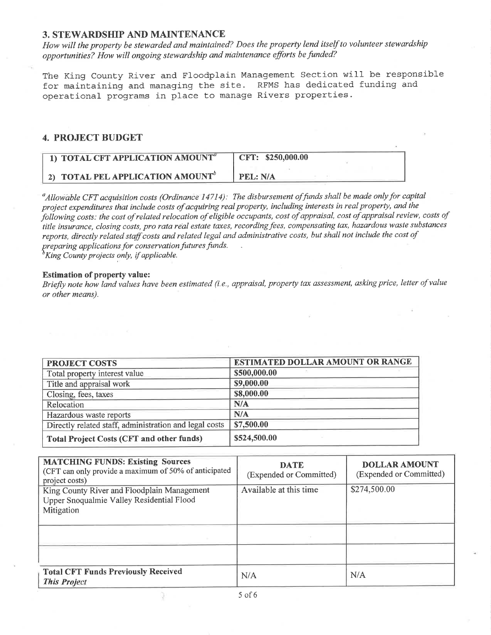#### 3. STEWARDSHIP AND MAINTENANCE

How will the property be stewarded and maintained? Does the property lend itself to volunteer stewardship opportunities? How will ongoing stewardship and maintenance efforts be funded?

The King County River and Floodplain Management Section will be responsible for maintaining and managing the site. RFMS has dedicated funding and operational programs in place to manage Rivers properties.

### 4. PROJECT BUDGET

| 1) TOTAL CFT APPLICATION AMOUNT <sup>a</sup> | CFT: \$250,000.00 |
|----------------------------------------------|-------------------|
| 2) TOTAL PEL APPLICATION AMOUNT <sup>b</sup> | PEL: N/A          |

<sup>a</sup> Allowable CFT acquisition costs (Ordinance 14714): The disbursement of funds shall be made only for capital project expenditures that include costs of acquiring real property, including interests in real property, and the þltowing costs: the cost of related relocation of eligible occupants, cost of appraisal, cost of appraisal review, costs of title insurance, closing costs, pro rata real estate taxes, recording fees, compensating tax, hazardous waste substances reports, directly related staff costs and related legal and administrative costs, but shall not include the cost of preparing applications for conservation futures funds.<br> ${}^b$ King County projects only, if applicable.

#### Estimation of property value:

Briefly note how land values have been estimated (i.e., appraisal, property tax assessment, asking price, letter of value or other means).

| <b>PROJECT COSTS</b>                                   | <b>ESTIMATED DOLLAR AMOUNT OR RANGE</b> |
|--------------------------------------------------------|-----------------------------------------|
| Total property interest value                          | \$500,000.00                            |
| Title and appraisal work                               | \$9,000.00                              |
| Closing, fees, taxes                                   | \$8,000.00                              |
| Relocation                                             | N/A                                     |
| Hazardous waste reports                                | N/A                                     |
| Directly related staff, administration and legal costs | \$7,500.00                              |
| <b>Total Project Costs (CFT and other funds)</b>       | \$524,500.00                            |

| <b>MATCHING FUNDS: Existing Sources</b><br>(CFT can only provide a maximum of 50% of anticipated<br>project costs) | <b>DATE</b><br>(Expended or Committed) | <b>DOLLAR AMOUNT</b><br>(Expended or Committed) |
|--------------------------------------------------------------------------------------------------------------------|----------------------------------------|-------------------------------------------------|
| King County River and Floodplain Management                                                                        | Available at this time                 | \$274,500.00                                    |
| Upper Snoqualmie Valley Residential Flood                                                                          |                                        |                                                 |
| Mitigation                                                                                                         |                                        |                                                 |
|                                                                                                                    |                                        |                                                 |
|                                                                                                                    |                                        |                                                 |
|                                                                                                                    |                                        |                                                 |
|                                                                                                                    |                                        |                                                 |
| <b>Total CFT Funds Previously Received</b><br><b>This Project</b>                                                  | N/A                                    | N/A                                             |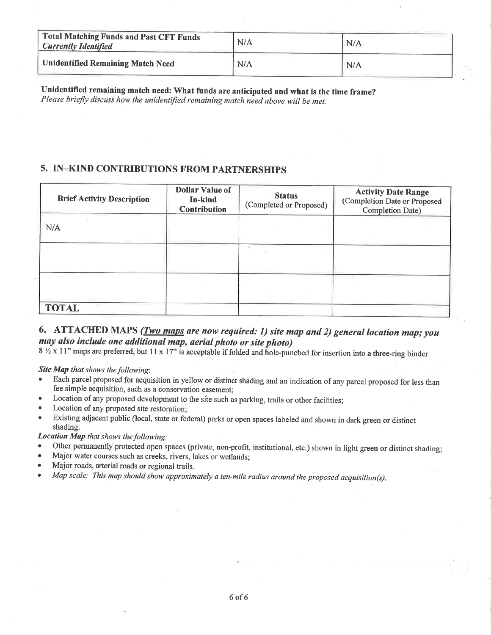| Total Matching Funds and Past CFT Funds<br><b>Currently Identified</b> | N/A | N/A |  |
|------------------------------------------------------------------------|-----|-----|--|
| <b>Unidentified Remaining Match Need</b>                               | N/A | N/A |  |

Unidentified remaining match need: What funds are anticipated and what is the time frame? Please briefly discuss how the unidentified remaining match need above will be met.

### 5. IN-KIND CONTRIBUTIONS FROM PARTNERSHIPS

| <b>Brief Activity Description</b> | <b>Dollar Value of</b><br>In-kind<br>Contribution | <b>Status</b><br>(Completed or Proposed) | <b>Activity Date Range</b><br>(Completion Date or Proposed<br>Completion Date) |
|-----------------------------------|---------------------------------------------------|------------------------------------------|--------------------------------------------------------------------------------|
| N/A                               |                                                   |                                          |                                                                                |
|                                   |                                                   |                                          |                                                                                |
|                                   |                                                   |                                          |                                                                                |
| <b>TOTAL</b>                      |                                                   |                                          |                                                                                |

## 6. ATTACHED MAPS (*Two maps are now required: 1) site map and 2) general location map; you* may also include one additional map, aerial photo or site photo)

8 <sup>1</sup>/<sub>2</sub> x 11" maps are preferred, but 11 x 17" is acceptable if folded and hole-punched for insertion into a three-ring binder.

Site Map that shows the following:

- Each parcel proposed for acquisition in yellow or distinct shading and an indication of any parcel proposed for less than fee simple acquisition, such as a conservation easement:
- Location of any proposed development to the site such as parking, trails or other facilities;
- Location of any proposed site restoration:
- Existing adjacent public (local, state or federal) parks or open spaces labeled and shown in dark green or distinct shading.

#### **Location Map** that shows the following:

- Other permanently protected open spaces (private, non-profit, institutional, etc.) shown in light green or distinct shading;
- Major water courses such as creeks, rivers, lakes or wetlands;
- Major roads, arterial roads or regional trails.
- Map scale: This map should show approximately a ten-mile radius around the proposed acquisition(s).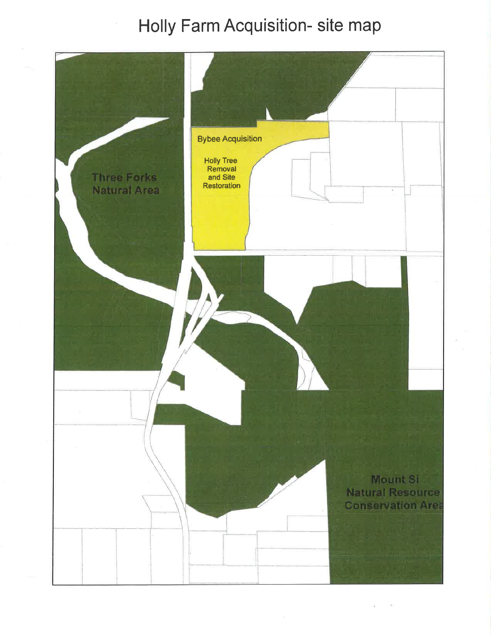## Holly Farm Acquisition- site map

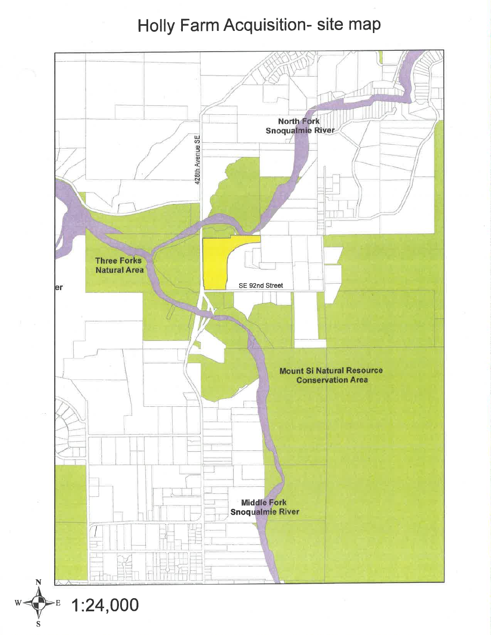## Holly Farm Acquisition- site map